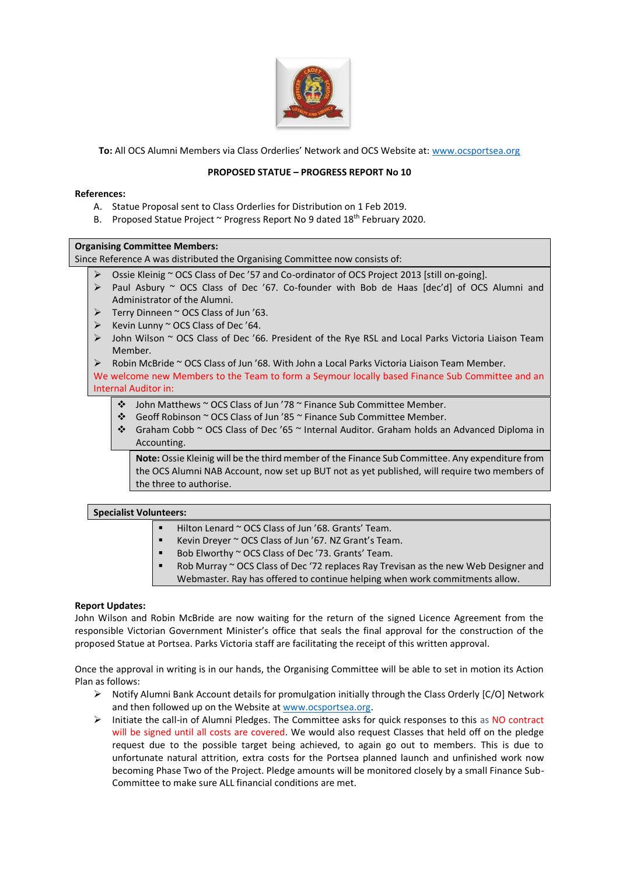

**To:** All OCS Alumni Members via Class Orderlies' Network and OCS Website at: [www.ocsportsea.org](http://www.ocsportsea.org/)

# **PROPOSED STATUE – PROGRESS REPORT No 10**

## **References:**

- A. Statue Proposal sent to Class Orderlies for Distribution on 1 Feb 2019.
- B. Proposed Statue Project  $\sim$  Progress Report No 9 dated 18<sup>th</sup> February 2020.

## **Organising Committee Members:**

Since Reference A was distributed the Organising Committee now consists of:

- ➢ Ossie Kleinig ~ OCS Class of Dec '57 and Co-ordinator of OCS Project 2013 [still on-going].
- ➢ Paul Asbury ~ OCS Class of Dec '67. Co-founder with Bob de Haas [dec'd] of OCS Alumni and Administrator of the Alumni.
- ➢ Terry Dinneen ~ OCS Class of Jun '63.
- ➢ Kevin Lunny ~ OCS Class of Dec '64.
- ➢ John Wilson ~ OCS Class of Dec '66. President of the Rye RSL and Local Parks Victoria Liaison Team Member.
- ➢ Robin McBride ~ OCS Class of Jun '68. With John a Local Parks Victoria Liaison Team Member.

We welcome new Members to the Team to form a Seymour locally based Finance Sub Committee and an Internal Auditor in:

- ❖ John Matthews ~ OCS Class of Jun '78 ~ Finance Sub Committee Member.
- ❖ Geoff Robinson ~ OCS Class of Jun '85 ~ Finance Sub Committee Member.
- ❖ Graham Cobb ~ OCS Class of Dec '65 ~ Internal Auditor. Graham holds an Advanced Diploma in Accounting.

**Note:** Ossie Kleinig will be the third member of the Finance Sub Committee. Any expenditure from the OCS Alumni NAB Account, now set up BUT not as yet published, will require two members of the three to authorise.

## **Specialist Volunteers:**

- Hilton Lenard ~ OCS Class of Jun '68. Grants' Team.
- Kevin Dreyer ~ OCS Class of Jun '67. NZ Grant's Team.
- Bob Elworthy ~ OCS Class of Dec '73. Grants' Team.
- Rob Murray  $\sim$  OCS Class of Dec '72 replaces Ray Trevisan as the new Web Designer and Webmaster. Ray has offered to continue helping when work commitments allow.

## **Report Updates:**

John Wilson and Robin McBride are now waiting for the return of the signed Licence Agreement from the responsible Victorian Government Minister's office that seals the final approval for the construction of the proposed Statue at Portsea. Parks Victoria staff are facilitating the receipt of this written approval.

Once the approval in writing is in our hands, the Organising Committee will be able to set in motion its Action Plan as follows:

- ➢ Notify Alumni Bank Account details for promulgation initially through the Class Orderly [C/O] Network and then followed up on the Website at [www.ocsportsea.org.](http://www.ocsportsea.org/)
- ➢ Initiate the call-in of Alumni Pledges. The Committee asks for quick responses to this as NO contract will be signed until all costs are covered. We would also request Classes that held off on the pledge request due to the possible target being achieved, to again go out to members. This is due to unfortunate natural attrition, extra costs for the Portsea planned launch and unfinished work now becoming Phase Two of the Project. Pledge amounts will be monitored closely by a small Finance Sub-Committee to make sure ALL financial conditions are met.